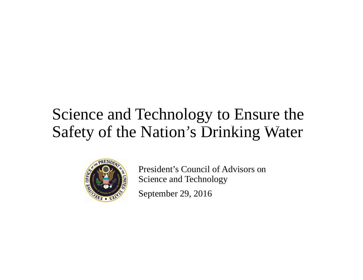## Science and Technology to Ensure the Safety of the Nation's Drinking Water



President's Council of Advisors on Science and Technology September 29, 2016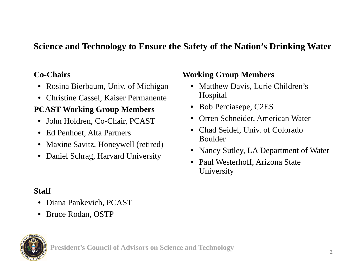## **Science and Technology to Ensure the Safety of the Nation's Drinking Water**

### **Co-Chairs**

- Rosina Bierbaum, Univ. of Michigan
- Christine Cassel, Kaiser Permanente

## **PCAST Working Group Members**

- John Holdren, Co-Chair, PCAST
- Ed Penhoet, Alta Partners
- Maxine Savitz, Honeywell (retired)
- Daniel Schrag, Harvard University

#### **Working Group Members**

- Matthew Davis, Lurie Children's Hospital
- Bob Perciasepe, C2ES
- Orren Schneider, American Water
- Chad Seidel, Univ. of Colorado Boulder
- •Nancy Sutley, LA Department of Water
- Paul Westerhoff, Arizona State **University**

### **Staff**

- $\bullet$ Diana Pankevich, PCAST
- Bruce Rodan, OSTP



**President's Council of Advisors on Science and Technology**